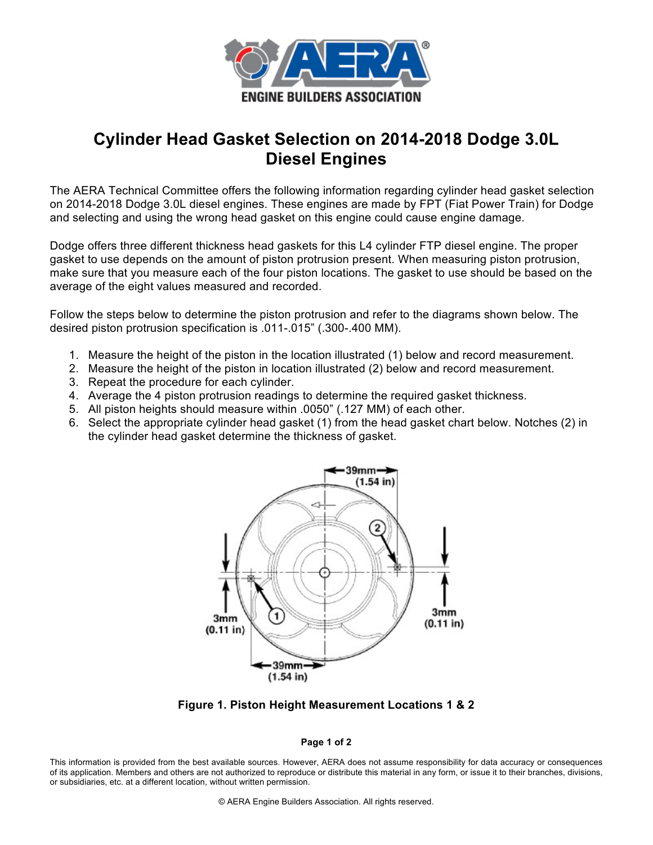

## **Cylinder Head Gasket Selection on 2014-2018 Dodge 3.0L Diesel Engines**

The AERA Technical Committee offers the following information regarding cylinder head gasket selection on 2014-2018 Dodge 3.0L diesel engines. These engines are made by FPT (Fiat Power Train) for Dodge and selecting and using the wrong head gasket on this engine could cause engine damage.

Dodge offers three different thickness head gaskets for this L4 cylinder FTP diesel engine. The proper gasket to use depends on the amount of piston protrusion present. When measuring piston protrusion, make sure that you measure each of the four piston locations. The gasket to use should be based on the average of the eight values measured and recorded.

Follow the steps below to determine the piston protrusion and refer to the diagrams shown below. The desired piston protrusion specification is .011-.015" (.300-.400 MM).

- 1. Measure the height of the piston in the location illustrated (1) below and record measurement.
- 2. Measure the height of the piston in location illustrated (2) below and record measurement.
- 3. Repeat the procedure for each cylinder.
- 4. Average the 4 piston protrusion readings to determine the required gasket thickness.
- 5. All piston heights should measure within .0050" (.127 MM) of each other.
- 6. Select the appropriate cylinder head gasket (1) from the head gasket chart below. Notches (2) in the cylinder head gasket determine the thickness of gasket.



**Figure 1. Piston Height Measurement Locations 1 & 2**

## **Page 1 of 2**

This information is provided from the best available sources. However, AERA does not assume responsibility for data accuracy or consequences of its application. Members and others are not authorized to reproduce or distribute this material in any form, or issue it to their branches, divisions, or subsidiaries, etc. at a different location, without written permission.